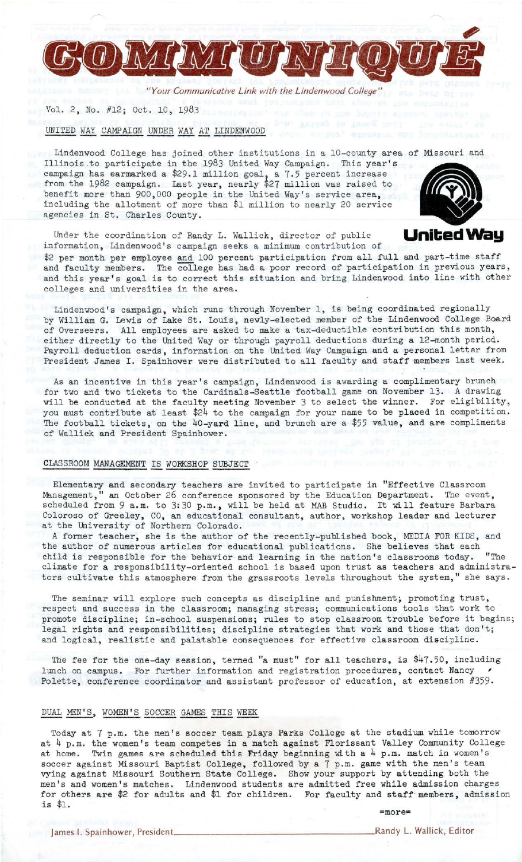

*"Your Communicative Link with the Lindenwood College"* 

Vol. 2, No. #12; Oct. 10, 1983

UNITED WAY CAMPAIGN UNDER WAY AT LINDENWOOD

Lindenwood College has joined other institutions in a 10-county area of Missouri and Illinois to participate in the 1983 United Way Campaign. This year's campaign has earmarked a \$29,1 million goal, a 7,5 percent increase from the 1982 campaign. Last year, nearly \$27 million was raised to benefit more than 900,000 people in the United Way's service area, including the allotment of more than \$1 million to nearly 20 service agencies in St. Charles County.



Under the coordination of Randy L. Wallick, director of public Under the coordination of Randy L. Wallick, director of public **United Way** information, Lindenwood's campaign seeks a minimum contribution of

\$2 per month per employee and 100 percent participation from all full and part-time staff and faculty members. The college has had a poor record of participation in previous years, and this year's goal is to correct this situation and bring Lindenwood into line with other colleges and universities in the area.

Lindenwood's campaign, which runs through November 1, is being coordinated regionally by William G. Lewis of Lake St. Louis, newly-elected member of the Lindenwood College Board of Overseers. All employees are asked to make a tax-deductible contribution this month, either directly to the United Way or through payroll deductions during a 12-month period. Payroll deduction cards, information on the United Way Campaign and a personal letter from President James I. Spainhower were distributed to all faculty and staff members last week.

As an incentive in this year's campaign, Lindenwood is awarding a complimentary brunch for two and two tickets to the Cardinals-Seattle football game on November 13. A drawing will be conducted at the faculty meeting November 3 to select the winner. For eligibility, you must contribute at least \$24 to the campaign for your name to be placed in competition. The football tickets, on the 40-yard line, and brunch are a \$55 value, and are compliments of Wallick and President Spainhower.

# CLASSROOM MANAGEMENT IS WORKSHOP SUBJECT ,

Elementary and secondary teachers are invited to participate in "Effective Classroom Management," an October 26 conference sponsored by the Education Department. The event, Management," an October 26 conference sponsored by the Education Department. The event, scheduled from  $9$  a.m. to  $3:30$  p.m., will be held at MAB Studio. It will feature Barbara Coloroso of Greeley, CO, an educational consultant, author, workshop leader and lecturer at the University of Northern Colorado.

A former teacher, she is the author of the recently-published book, MEDIA FOR KIDS, and the author of numerous articles for educational publications. She believes that each child is responsible for the behavior and learning in the nation's classrooms today. "The climate for a responsibility-oriented school is based upon trust as teachers and administrators cultivate this atmosphere from the grassroots levels throughout the system," she says.

The seminar will explore such concepts as discipline and punishment; promoting trust, respect and success in the classroom; managing stress; communications tools that work to promote discipline; in-school suspensions; rules to stop classroom trouble before it begins; legal rights and responsibilities; discipline strategies that work and those that don't; and logical, realistic and palatable consequences for effective classroom discipline.

The fee for the one-day session, termed "a must" for all teachers, is \$47.50, including lunch on campus. For further information and registration procedures, contact Nancy Polette, conference coordinator and assistant professor of education, at extension #359.

#### DUAL MEN'S, WOMEN'S SOCCER GAMES THIS WEEK

Today at 7 p.m. the men's soccer team plays Parks College at the stadium while tomorrow at  $4$  p.m. the women's team competes in a match against Florissant Valley Community College at home. Twin games are scheduled this Friday beginning with a 4 p.m. match in women's soccer against Missouri Baptist College, followed by a 7 p.m. game with the men's team vying against Missouri Southern State College. Show your support by attending both the men's and women's matches. Lindenwood students are admitted free while admission charges for others **are** \$2 for adults and \$1 for children. For faculty and staff·members, admission is \$1.

=more=